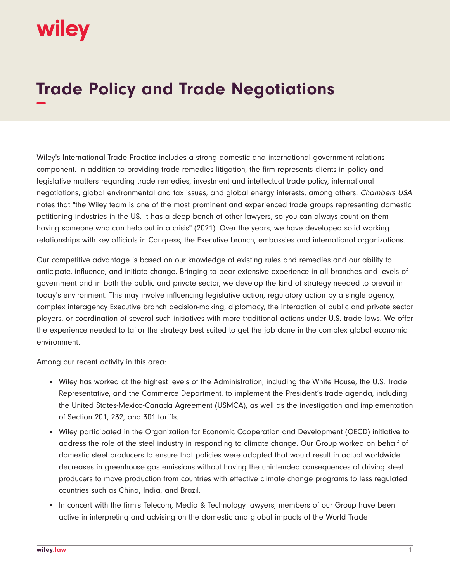## **WIIEV**

## **Trade Policy and Trade Negotiations −**

Wiley's International Trade Practice includes a strong domestic and international government relations component. In addition to providing trade remedies litigation, the firm represents clients in policy and legislative matters regarding trade remedies, investment and intellectual trade policy, international negotiations, global environmental and tax issues, and global energy interests, among others. Chambers USA notes that "the Wiley team is one of the most prominent and experienced trade groups representing domestic petitioning industries in the US. It has a deep bench of other lawyers, so you can always count on them having someone who can help out in a crisis" (2021). Over the years, we have developed solid working relationships with key officials in Congress, the Executive branch, embassies and international organizations.

Our competitive advantage is based on our knowledge of existing rules and remedies and our ability to anticipate, influence, and initiate change. Bringing to bear extensive experience in all branches and levels of government and in both the public and private sector, we develop the kind of strategy needed to prevail in today's environment. This may involve influencing legislative action, regulatory action by a single agency, complex interagency Executive branch decision-making, diplomacy, the interaction of public and private sector players, or coordination of several such initiatives with more traditional actions under U.S. trade laws. We offer the experience needed to tailor the strategy best suited to get the job done in the complex global economic environment.

Among our recent activity in this area:

- Wiley has worked at the highest levels of the Administration, including the White House, the U.S. Trade Representative, and the Commerce Department, to implement the President's trade agenda, including the United States-Mexico-Canada Agreement (USMCA), as well as the investigation and implementation of Section 201, 232, and 301 tariffs.
- Wiley participated in the Organization for Economic Cooperation and Development (OECD) initiative to address the role of the steel industry in responding to climate change. Our Group worked on behalf of domestic steel producers to ensure that policies were adopted that would result in actual worldwide decreases in greenhouse gas emissions without having the unintended consequences of driving steel producers to move production from countries with effective climate change programs to less regulated countries such as China, India, and Brazil.
- In concert with the firm's Telecom, Media & Technology lawyers, members of our Group have been active in interpreting and advising on the domestic and global impacts of the World Trade